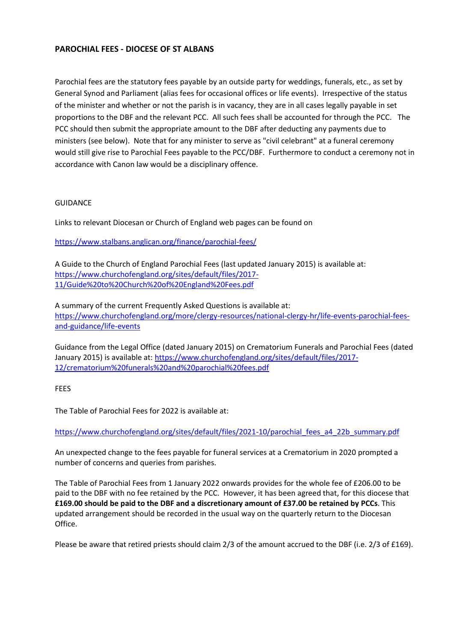# **PAROCHIAL FEES - DIOCESE OF ST ALBANS**

Parochial fees are the statutory fees payable by an outside party for weddings, funerals, etc., as set by General Synod and Parliament (alias fees for occasional offices or life events). Irrespective of the status of the minister and whether or not the parish is in vacancy, they are in all cases legally payable in set proportions to the DBF and the relevant PCC. All such fees shall be accounted for through the PCC. The PCC should then submit the appropriate amount to the DBF after deducting any payments due to ministers (see below). Note that for any minister to serve as "civil celebrant" at a funeral ceremony would still give rise to Parochial Fees payable to the PCC/DBF. Furthermore to conduct a ceremony not in accordance with Canon law would be a disciplinary offence.

## GUIDANCE

Links to relevant Diocesan or Church of England web pages can be found on

<https://www.stalbans.anglican.org/finance/parochial-fees/>

A [Guide to the Church of England Parochial Fees](https://www.churchofengland.org/sites/default/files/2017-11/Guide%20to%20Church%20of%20England%20Fees.pdf) (last updated January 2015) is available at: [https://www.churchofengland.org/sites/default/files/2017-](https://www.churchofengland.org/sites/default/files/2017-11/Guide%20to%20Church%20of%20England%20Fees.pdf) [11/Guide%20to%20Church%20of%20England%20Fees.pdf](https://www.churchofengland.org/sites/default/files/2017-11/Guide%20to%20Church%20of%20England%20Fees.pdf)

A summary of the current Frequently Asked Questions is available at: [https://www.churchofengland.org/more/clergy-resources/national-clergy-hr/life-events-parochial-fees](https://www.churchofengland.org/more/clergy-resources/national-clergy-hr/life-events-parochial-fees-and-guidance/life-events)[and-guidance/life-events](https://www.churchofengland.org/more/clergy-resources/national-clergy-hr/life-events-parochial-fees-and-guidance/life-events)

[Guidance from the Legal Office \(dated January 2015\) on](https://www.churchofengland.org/sites/default/files/2017-12/crematorium%20funerals%20and%20parochial%20fees.pdf) Crematorium Funerals and Parochial Fees (dated January 2015) is available at: [https://www.churchofengland.org/sites/default/files/2017-](https://www.churchofengland.org/sites/default/files/2017-12/crematorium%20funerals%20and%20parochial%20fees.pdf) [12/crematorium%20funerals%20and%20parochial%20fees.pdf](https://www.churchofengland.org/sites/default/files/2017-12/crematorium%20funerals%20and%20parochial%20fees.pdf)

### FEES

The Table of Parochial Fees for 2022 is available at:

[https://www.churchofengland.org/sites/default/files/2021-10/parochial\\_fees\\_a4\\_22b\\_summary.pdf](https://www.churchofengland.org/sites/default/files/2021-10/parochial_fees_a4_22b_summary.pdf)

An unexpected change to the fees payable for funeral services at a Crematorium in 2020 prompted a number of concerns and queries from parishes.

The Table of Parochial Fees from 1 January 2022 onwards provides for the whole fee of £206.00 to be paid to the DBF with no fee retained by the PCC. However, it has been agreed that, for this diocese that **£169.00 should be paid to the DBF and a discretionary amount of £37.00 be retained by PCCs**. This updated arrangement should be recorded in the usual way on the quarterly return to the Diocesan Office.

Please be aware that retired priests should claim 2/3 of the amount accrued to the DBF (i.e. 2/3 of £169).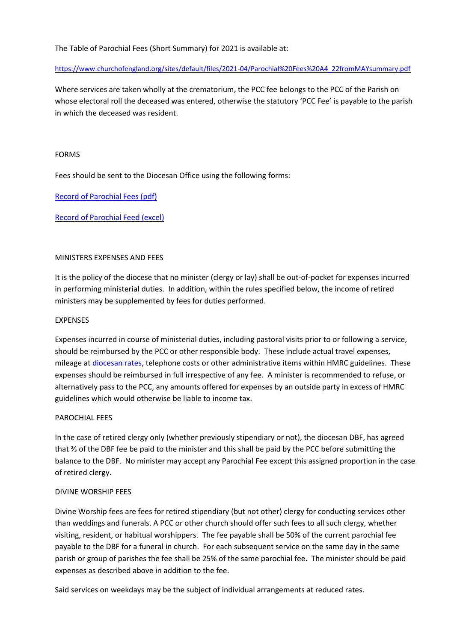## The Table of Parochial Fees (Short Summary) for 2021 is available at:

#### [https://www.churchofengland.org/sites/default/files/2021-04/Parochial%20Fees%20A4\\_22fromMAYsummary.pdf](https://www.churchofengland.org/sites/default/files/2021-04/Parochial%20Fees%20A4_22fromMAYsummary.pdf)

Where services are taken wholly at the crematorium, the PCC fee belongs to the PCC of the Parish on whose electoral roll the deceased was entered, otherwise the statutory 'PCC Fee' is payable to the parish in which the deceased was resident.

#### FORMS

Fees should be sent to the Diocesan Office using the following forms:

[Record of Parochial Fees \(pdf\)](https://www.stalbans.anglican.org/wp-content/uploads/downloads/Finance/recordofparochialfees2013.pdf)

### [Record of Parochial Feed \(excel\)](https://www.stalbans.anglican.org/wp-content/uploads/recordofparochialfees2016.xls)

### MINISTERS EXPENSES AND FEES

It is the policy of the diocese that no minister (clergy or lay) shall be out-of-pocket for expenses incurred in performing ministerial duties. In addition, within the rules specified below, the income of retired ministers may be supplemented by fees for duties performed.

#### EXPENSES

Expenses incurred in course of ministerial duties, including pastoral visits prior to or following a service, should be reimbursed by the PCC or other responsible body. These include actual travel expenses, mileage at [diocesan rates,](https://www.stalbans.anglican.org/finance/mileage-rates/) telephone costs or other administrative items within HMRC guidelines. These expenses should be reimbursed in full irrespective of any fee. A minister is recommended to refuse, or alternatively pass to the PCC, any amounts offered for expenses by an outside party in excess of HMRC guidelines which would otherwise be liable to income tax.

### PAROCHIAL FEES

In the case of retired clergy only (whether previously stipendiary or not), the diocesan DBF, has agreed that ⅔ of the DBF fee be paid to the minister and this shall be paid by the PCC before submitting the balance to the DBF. No minister may accept any Parochial Fee except this assigned proportion in the case of retired clergy.

### DIVINE WORSHIP FEES

Divine Worship fees are fees for retired stipendiary (but not other) clergy for conducting services other than weddings and funerals. A PCC or other church should offer such fees to all such clergy, whether visiting, resident, or habitual worshippers. The fee payable shall be 50% of the current parochial fee payable to the DBF for a funeral in church. For each subsequent service on the same day in the same parish or group of parishes the fee shall be 25% of the same parochial fee. The minister should be paid expenses as described above in addition to the fee.

Said services on weekdays may be the subject of individual arrangements at reduced rates.